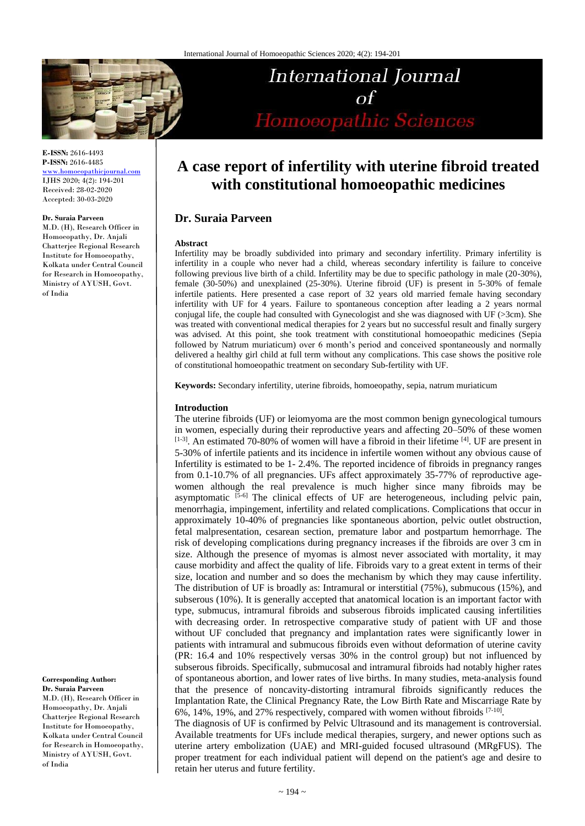

**E-ISSN:** 2616-4493 **P-ISSN:** 2616-4485

<www.homoeopathicjournal.com> IJHS 2020; 4(2): 194-201 Received: 28-02-2020 Accepted: 30-03-2020

#### **Dr. Suraia Parveen**

M.D. (H), Research Officer in Homoeopathy, Dr. Anjali Chatterjee Regional Research Institute for Homoeopathy, Kolkata under Central Council for Research in Homoeopathy, Ministry of AYUSH, Govt. of India

#### **Corresponding Author: Dr. Suraia Parveen**

M.D. (H), Research Officer in Homoeopathy, Dr. Anjali Chatterjee Regional Research Institute for Homoeopathy, Kolkata under Central Council for Research in Homoeopathy, Ministry of AYUSH, Govt. of India

# **A case report of infertility with uterine fibroid treated with constitutional homoeopathic medicines**

International Journal

Homoeopathic Sciences

 $\sigma$ f

# **Dr. Suraia Parveen**

#### **Abstract**

Infertility may be broadly subdivided into primary and secondary infertility. Primary infertility is infertility in a couple who never had a child, whereas secondary infertility is failure to conceive following previous live birth of a child. Infertility may be due to specific pathology in male (20-30%), female (30-50%) and unexplained (25-30%). Uterine fibroid (UF) is present in 5-30% of female infertile patients. Here presented a case report of 32 years old married female having secondary infertility with UF for 4 years. Failure to spontaneous conception after leading a 2 years normal conjugal life, the couple had consulted with Gynecologist and she was diagnosed with UF (>3cm). She was treated with conventional medical therapies for 2 years but no successful result and finally surgery was advised. At this point, she took treatment with constitutional homoeopathic medicines (Sepia followed by Natrum muriaticum) over 6 month's period and conceived spontaneously and normally delivered a healthy girl child at full term without any complications. This case shows the positive role of constitutional homoeopathic treatment on secondary Sub-fertility with UF.

**Keywords:** Secondary infertility, uterine fibroids, homoeopathy, sepia, natrum muriaticum

#### **Introduction**

The uterine fibroids (UF) or leiomyoma are the most common benign gynecological tumours in women, especially during their reproductive years and affecting 20–50% of these women  $[1-3]$ . An estimated 70-80% of women will have a fibroid in their lifetime  $[4]$ . UF are present in 5-30% of infertile patients and its incidence in infertile women without any obvious cause of Infertility is estimated to be 1- 2.4%. The reported incidence of fibroids in pregnancy ranges from 0.1-10.7% of all pregnancies. UFs affect approximately 35-77% of reproductive agewomen although the real prevalence is much higher since many fibroids may be asymptomatic  $[5-6]$  The clinical effects of UF are heterogeneous, including pelvic pain, menorrhagia, impingement, infertility and related complications. Complications that occur in approximately 10-40% of pregnancies like spontaneous abortion, pelvic outlet obstruction, fetal malpresentation, cesarean section, premature labor and postpartum hemorrhage. The risk of developing complications during pregnancy increases if the fibroids are over 3 cm in size. Although the presence of myomas is almost never associated with mortality, it may cause morbidity and affect the quality of life. Fibroids vary to a great extent in terms of their size, location and number and so does the mechanism by which they may cause infertility. The distribution of UF is broadly as: Intramural or interstitial (75%), submucous (15%), and subserous (10%). It is generally accepted that anatomical location is an important factor with type, submucus, intramural fibroids and subserous fibroids implicated causing infertilities with decreasing order. In retrospective comparative study of patient with UF and those without UF concluded that pregnancy and implantation rates were significantly lower in patients with intramural and submucous fibroids even without deformation of uterine cavity (PR: 16.4 and 10% respectively versas 30% in the control group) but not influenced by subserous fibroids. Specifically, submucosal and intramural fibroids had notably higher rates of spontaneous abortion, and lower rates of live births. In many studies, meta-analysis found that the presence of noncavity-distorting intramural fibroids significantly reduces the Implantation Rate, the Clinical Pregnancy Rate, the Low Birth Rate and Miscarriage Rate by 6%, 14%, 19%, and 27% respectively, compared with women without fibroids [7-10] .

The diagnosis of UF is confirmed by Pelvic Ultrasound and its management is controversial. Available treatments for UFs include medical therapies, surgery, and newer options such as uterine artery embolization (UAE) and MRI-guided focused ultrasound (MRgFUS). The proper treatment for each individual patient will depend on the patient's age and desire to retain her uterus and future fertility.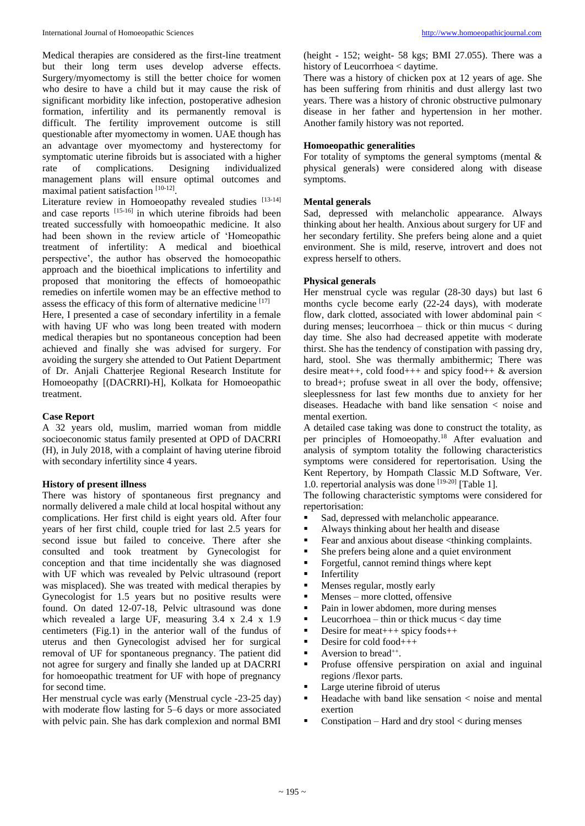Medical therapies are considered as the first-line treatment but their long term uses develop adverse effects. Surgery/myomectomy is still the better choice for women who desire to have a child but it may cause the risk of significant morbidity like infection, postoperative adhesion formation, infertility and its permanently removal is difficult. The fertility improvement outcome is still questionable after myomectomy in women. UAE though has an advantage over myomectomy and hysterectomy for symptomatic uterine fibroids but is associated with a higher rate of complications. Designing individualized management plans will ensure optimal outcomes and maximal patient satisfaction [10-12].

Literature review in Homoeopathy revealed studies [13-14] and case reports [15-16] in which uterine fibroids had been treated successfully with homoeopathic medicine. It also had been shown in the review article of 'Homeopathic treatment of infertility: A medical and bioethical perspective', the author has observed the homoeopathic approach and the bioethical implications to infertility and proposed that monitoring the effects of homoeopathic remedies on infertile women may be an effective method to assess the efficacy of this form of alternative medicine [17]

Here, I presented a case of secondary infertility in a female with having UF who was long been treated with modern medical therapies but no spontaneous conception had been achieved and finally she was advised for surgery. For avoiding the surgery she attended to Out Patient Department of Dr. Anjali Chatterjee Regional Research Institute for Homoeopathy [(DACRRI)-H], Kolkata for Homoeopathic treatment.

#### **Case Report**

A 32 years old, muslim, married woman from middle socioeconomic status family presented at OPD of DACRRI (H), in July 2018, with a complaint of having uterine fibroid with secondary infertility since 4 years.

#### **History of present illness**

There was history of spontaneous first pregnancy and normally delivered a male child at local hospital without any complications. Her first child is eight years old. After four years of her first child, couple tried for last 2.5 years for second issue but failed to conceive. There after she consulted and took treatment by Gynecologist for conception and that time incidentally she was diagnosed with UF which was revealed by Pelvic ultrasound (report was misplaced). She was treated with medical therapies by Gynecologist for 1.5 years but no positive results were found. On dated 12-07-18, Pelvic ultrasound was done which revealed a large UF, measuring 3.4 x 2.4 x 1.9 centimeters (Fig.1) in the anterior wall of the fundus of uterus and then Gynecologist advised her for surgical removal of UF for spontaneous pregnancy. The patient did not agree for surgery and finally she landed up at DACRRI for homoeopathic treatment for UF with hope of pregnancy for second time.

Her menstrual cycle was early (Menstrual cycle -23-25 day) with moderate flow lasting for 5–6 days or more associated with pelvic pain. She has dark complexion and normal BMI (height  $-152$ ; weight $-58$  kgs; BMI 27.055). There was a history of Leucorrhoea < daytime.

There was a history of chicken pox at 12 years of age. She has been suffering from rhinitis and dust allergy last two years. There was a history of chronic obstructive pulmonary disease in her father and hypertension in her mother. Another family history was not reported.

## **Homoeopathic generalities**

For totality of symptoms the general symptoms (mental  $\&$ physical generals) were considered along with disease symptoms.

## **Mental generals**

Sad, depressed with melancholic appearance. Always thinking about her health. Anxious about surgery for UF and her secondary fertility. She prefers being alone and a quiet environment. She is mild, reserve, introvert and does not express herself to others.

## **Physical generals**

Her menstrual cycle was regular (28-30 days) but last 6 months cycle become early (22-24 days), with moderate flow, dark clotted, associated with lower abdominal pain < during menses; leucorrhoea – thick or thin mucus < during day time. She also had decreased appetite with moderate thirst. She has the tendency of constipation with passing dry, hard, stool. She was thermally ambithermic; There was desire meat ++, cold food +++ and spicy food ++  $\&$  aversion to bread+; profuse sweat in all over the body, offensive; sleeplessness for last few months due to anxiety for her diseases. Headache with band like sensation < noise and mental exertion.

A detailed case taking was done to construct the totality, as per principles of Homoeopathy.<sup>18</sup> After evaluation and analysis of symptom totality the following characteristics symptoms were considered for repertorisation. Using the Kent Repertory, by Hompath Classic M.D Software, Ver. 1.0. repertorial analysis was done [19-20] [Table 1].

The following characteristic symptoms were considered for repertorisation:

- Sad, depressed with melancholic appearance.
- Always thinking about her health and disease
- Fear and anxious about disease  $\lt$ thinking complaints.<br>
She prefers being alone and a quiet environment
- She prefers being alone and a quiet environment<br>• Forgetful, cannot remind things where kent
- Forgetful, cannot remind things where kept
- Infertility<br>Menses re
- Menses regular, mostly early<br>Menses more clotted, offen
- Menses more clotted, offensive<br> $\frac{1}{2}$  Pain in lower abdomen, more during
- Pain in lower abdomen, more during menses<br>Performance the performance of the much  $\epsilon$  day time
- Leucorrhoea thin or thick mucus < day time
- Desire for meat $+++$  spicy foods $++$
- $\blacksquare$  Desire for cold food + + +
- $\blacksquare$  Aversion to bread<sup>++</sup>.
- **•** Profuse offensive perspiration on axial and inguinal regions /flexor parts.
- Large uterine fibroid of uterus
- Headache with band like sensation < noise and mental exertion
- Constipation Hard and dry stool < during menses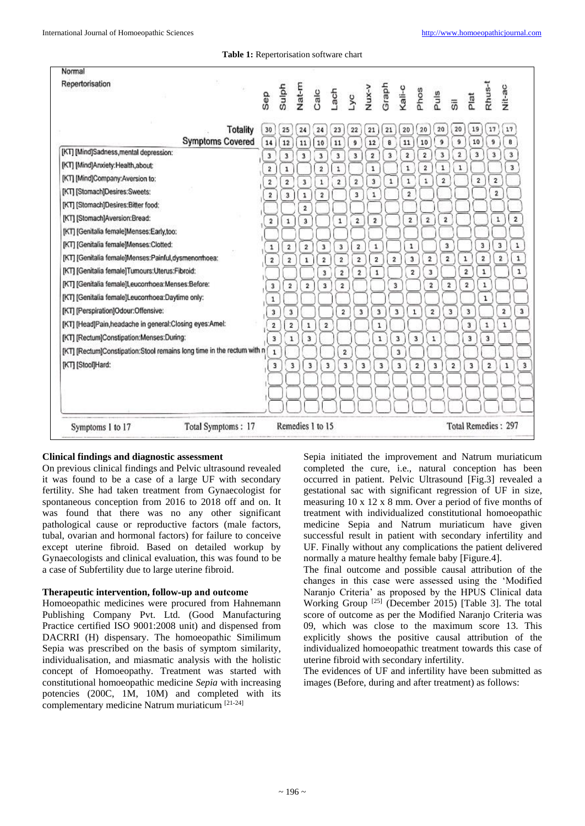**Table 1:** Repertorisation software chart

| Normal<br>Repertorisation                                                |                         |                         |                         |                         |                         |                         |                                          |                         |                         |                         |                         |                         |                         |                         |                                         |
|--------------------------------------------------------------------------|-------------------------|-------------------------|-------------------------|-------------------------|-------------------------|-------------------------|------------------------------------------|-------------------------|-------------------------|-------------------------|-------------------------|-------------------------|-------------------------|-------------------------|-----------------------------------------|
|                                                                          | Sep                     | Sulph                   |                         |                         |                         |                         | Nat-m<br>Calc<br>La ch<br>Nux-v<br>Graph |                         | Kali-c<br>Phos          |                         | Puls                    | $\overline{5}$          | Plat                    | Rhus-                   | Nit-ac                                  |
|                                                                          |                         |                         |                         |                         |                         |                         |                                          |                         |                         |                         |                         |                         |                         |                         |                                         |
| <b>Totality</b><br><b>Symptoms Covered</b>                               | 30<br>14                | 25<br>$12\,$            | 24<br>11                | 24<br>10                | 23<br>$11$              | 22<br>9                 | 21<br>12                                 | 21<br>8                 | 20<br>$\bf{11}$         | 20<br>10                | 20<br>9                 | 20<br>9                 | 19<br>10                | 17<br>9                 | 17<br>B                                 |
| [KT] [Mind]Sadness, mental depression:                                   | 3                       | 3                       | 3                       | $\overline{\mathbf{3}}$ | 3                       | $\overline{\mathbf{3}}$ | $\overline{\mathbf{2}}$                  | $\overline{\mathbf{3}}$ | $\overline{2}$          | $\overline{2}$          | 3                       | $\mathbf{2}$            | $\overline{\mathbf{3}}$ | $\overline{\mathbf{3}}$ | 3                                       |
| [KT] [Mind]Anxiety:Health,about:                                         | $\mathbf 2$             | 1                       |                         | $\hat{\mathbf{z}}$      | $\mathtt{1}$            |                         | $\mathbf{1}$                             |                         | $\mathbf 1$             | $\overline{\mathbf{2}}$ | $\mathbf 1$             | $\mathbf{1}$            |                         |                         | 3                                       |
| [KT] [Mind]Company:Aversion to:                                          | $\overline{2}$          | $\overline{2}$          | $\overline{\mathbf{3}}$ | $\mathbf{1}$            | $\overline{2}$          | $\overline{\mathbf{2}}$ | $\overline{\mathbf{3}}$                  | $\mathbf{1}$            | ı                       | 1                       | $\overline{2}$          |                         | $\overline{\mathbf{2}}$ | $\overline{\mathbf{2}}$ |                                         |
| [KT] [Stomach]Desires:Sweets:                                            | $\overline{\mathbf{2}}$ | $\overline{\mathbf{3}}$ | 1                       | $\overline{\mathbf{2}}$ |                         | 3                       | ${\bf 1}$                                |                         | $\overline{\mathbf{2}}$ |                         |                         |                         |                         | $\overline{\mathbf{2}}$ |                                         |
| [KT] [Stomach]Desires:Bitter food:                                       |                         |                         | $\overline{\mathbf{2}}$ |                         |                         |                         |                                          |                         |                         |                         |                         |                         |                         |                         |                                         |
| [KT] [Stomach]Aversion:Bread:                                            | $\overline{\mathbf{2}}$ | $\mathbf{1}$            | 3                       |                         | $\mathbf 1$             | $\overline{2}$          | $\overline{\mathbf{2}}$                  |                         | $\overline{\mathbf{2}}$ | $\mathbf 2$             | 2                       |                         |                         |                         | $\overline{\mathbf{2}}$<br>$\mathbf 1$  |
| [KT] [Genitalia female]Menses:Early,too:                                 |                         |                         |                         |                         |                         |                         |                                          |                         |                         |                         |                         |                         |                         |                         |                                         |
| [KT] [Genitalia female]Menses:Clotted:                                   | $\,$ 1 $\,$             | 2                       | $\overline{2}$          | $\mathbf 3$             | 3                       | 2                       | $\mathbf 1$                              |                         | $\mathbf 1$             |                         | 3                       |                         |                         | 3                       | 3<br>$\mathbf 1$                        |
| [KT] [Genitalia female]Menses:Painful,dysmenonhoea:                      | 2                       | $\overline{\mathbf{z}}$ | 1                       | $\overline{\mathbf{2}}$ | $\overline{2}$          | $\overline{2}$          | $\overline{\mathbf{z}}$                  | $\overline{\mathbf{z}}$ | $\overline{\mathbf{3}}$ | $\mathbf 2$             | $\overline{\mathbf{z}}$ |                         | $\mathbf{1}$            | $\overline{\mathbf{z}}$ | $\mathtt{1}$<br>$\overline{\mathbf{2}}$ |
| [KT] [Genitalia female]Tumours:Uterus:Fibroid:                           |                         |                         |                         | $\mathbf 3$             | $\overline{\mathbf{2}}$ | $\tilde{\mathbf{2}}$    | $\mathbf{1}$                             |                         | $\overline{2}$          | 3                       |                         |                         | $\boldsymbol{2}$        | 1                       | $\mathbf{1}$                            |
| [KT] [Genitalia female]Leucomhoea:Menses:Before:                         | $\mathbf 3$             | $\overline{\mathbf{2}}$ | $\overline{\mathbf{2}}$ | $\overline{\mathbf{3}}$ | $\overline{2}$          |                         |                                          | 3                       |                         | $\overline{\mathbf{2}}$ |                         | $\mathbf 2$             | $\mathbf 2$             | $\mathbf 1$             |                                         |
| [KT] [Genitalia female]Leucomhoea:Daytime only:                          | $\mathbf 1$             |                         |                         |                         |                         |                         |                                          |                         |                         |                         |                         |                         |                         | $\mathbf 1$             |                                         |
| [KT] [Perspiration]Odour:Offensive:                                      | 3                       | 3                       |                         |                         | $\overline{\mathbf{2}}$ | 3                       | 3                                        | 3                       | $\mathbf 1$             |                         | $\overline{\mathbf{2}}$ | 3                       | 3                       |                         | $\mathbf 3$<br>$\bar{\bf 2}$            |
| [KT] [Head]Pain,headache in general:Closing eyes:Amel:                   | $\mathbf 2$             | $\overline{\mathbf{2}}$ | ı                       | $\overline{\mathbf{2}}$ |                         |                         | $\mathbf 1$                              |                         |                         |                         |                         |                         | 3                       | 1                       | $\mathbf 1$                             |
| [KT] [Rectum]Constipation:Menses:During:                                 | 3                       | 1                       | 3                       |                         |                         |                         |                                          | $\mathbf{1}$<br>3       |                         | 3                       | 1                       |                         | 3                       | 3                       |                                         |
| [KT] [Rectum]Constipation:Stool remains long time in the rectum with n ( | $\mathbf{1}$            |                         |                         |                         |                         | $\overline{2}$          |                                          |                         | 3                       |                         |                         |                         |                         |                         |                                         |
| [KT] [Stool]Hard:                                                        | 3                       | 3                       | 3                       |                         | 3                       | 3                       | 3                                        | 3                       | 3                       | $\overline{\mathbf{2}}$ | з                       | $\overline{\mathbf{2}}$ | 3                       | $\overline{\mathbf{2}}$ | $\mathbf{1}$                            |
|                                                                          |                         |                         |                         |                         |                         |                         |                                          |                         |                         |                         |                         |                         |                         |                         |                                         |
|                                                                          |                         |                         |                         |                         |                         |                         |                                          |                         |                         |                         |                         |                         |                         |                         |                                         |
|                                                                          |                         |                         |                         |                         |                         |                         |                                          |                         |                         |                         |                         |                         |                         |                         |                                         |
| Total Symptoms: 17<br>Symptoms 1 to 17                                   |                         |                         | Remedies 1 to 15        |                         |                         |                         |                                          |                         |                         |                         |                         |                         |                         |                         | Total Remedies: 297                     |

## **Clinical findings and diagnostic assessment**

On previous clinical findings and Pelvic ultrasound revealed it was found to be a case of a large UF with secondary fertility. She had taken treatment from Gynaecologist for spontaneous conception from 2016 to 2018 off and on. It was found that there was no any other significant pathological cause or reproductive factors (male factors, tubal, ovarian and hormonal factors) for failure to conceive except uterine fibroid. Based on detailed workup by Gynaecologists and clinical evaluation, this was found to be a case of Subfertility due to large uterine fibroid.

## **Therapeutic intervention, follow‑up and outcome**

Homoeopathic medicines were procured from Hahnemann Publishing Company Pvt. Ltd. (Good Manufacturing Practice certified ISO 9001:2008 unit) and dispensed from DACRRI (H) dispensary. The homoeopathic Similimum Sepia was prescribed on the basis of symptom similarity, individualisation, and miasmatic analysis with the holistic concept of Homoeopathy. Treatment was started with constitutional homoeopathic medicine *Sepia* with increasing potencies (200C, 1M, 10M) and completed with its complementary medicine Natrum muriaticum [21-24]

Sepia initiated the improvement and Natrum muriaticum completed the cure, i.e., natural conception has been occurred in patient. Pelvic Ultrasound [Fig.3] revealed a gestational sac with significant regression of UF in size, measuring 10 x 12 x 8 mm. Over a period of five months of treatment with individualized constitutional homoeopathic medicine Sepia and Natrum muriaticum have given successful result in patient with secondary infertility and UF. Finally without any complications the patient delivered normally a mature healthy female baby [Figure.4].

The final outcome and possible causal attribution of the changes in this case were assessed using the 'Modified Naranjo Criteria' as proposed by the HPUS Clinical data Working Group<sup>[25]</sup> (December 2015) [Table 3]. The total score of outcome as per the Modified Naranjo Criteria was 09, which was close to the maximum score 13. This explicitly shows the positive causal attribution of the individualized homoeopathic treatment towards this case of uterine fibroid with secondary infertility.

The evidences of UF and infertility have been submitted as images (Before, during and after treatment) as follows: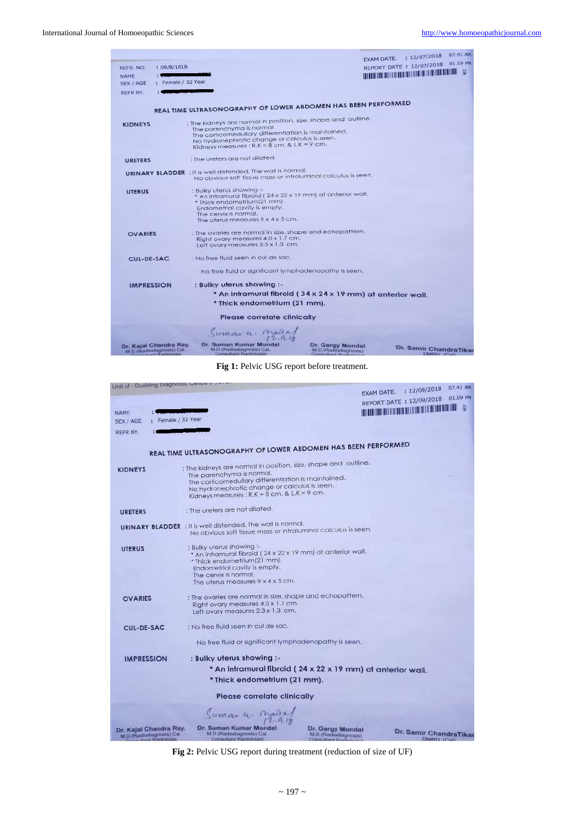|                   |                                                                       |                                                                                                      |                                                                    | EXAM DATE. : 12/07/2018 07.41 AM                                                              |
|-------------------|-----------------------------------------------------------------------|------------------------------------------------------------------------------------------------------|--------------------------------------------------------------------|-----------------------------------------------------------------------------------------------|
| REFR. NO.         | : 09/B/1618                                                           |                                                                                                      |                                                                    | REPORT DATE: 12/07/2018 01.59 PM                                                              |
| NAME              |                                                                       |                                                                                                      |                                                                    | $\mathbb{R}^n$ and the contribution of the contribution of the contribution of $\mathbb{R}^n$ |
| SEX / AGE         | : Female / 32 Year                                                    |                                                                                                      |                                                                    |                                                                                               |
| REFR BY.          |                                                                       |                                                                                                      |                                                                    |                                                                                               |
|                   |                                                                       |                                                                                                      |                                                                    |                                                                                               |
|                   |                                                                       | REAL TIME ULTRASONOGRAPHY OF LOWER ABDOMEN HAS BEEN PERFORMED                                        |                                                                    |                                                                                               |
| <b>KIDNEYS</b>    |                                                                       | : The kidneys are normal in position, size, shape and outline,                                       |                                                                    |                                                                                               |
|                   |                                                                       | The parenchyma is normal.                                                                            |                                                                    |                                                                                               |
|                   |                                                                       | The corticomedullary differentiation is maintained.<br>No hydronephrotic change or calculus is seen. |                                                                    |                                                                                               |
|                   |                                                                       | Kidneys measures : $R.K = 8$ cm, $8$ , $L.K = 9$ cm.                                                 |                                                                    |                                                                                               |
|                   |                                                                       |                                                                                                      |                                                                    |                                                                                               |
| <b>URETERS</b>    |                                                                       | : The ureters are not dilated.                                                                       |                                                                    |                                                                                               |
|                   |                                                                       | <b>URINARY BLADDER</b> : It is well distended. The wall is normal.                                   |                                                                    |                                                                                               |
|                   |                                                                       | No obvious soft tissue mass or intraluminal calculus is seen.                                        |                                                                    |                                                                                               |
|                   |                                                                       |                                                                                                      |                                                                    |                                                                                               |
| <b>UTERUS</b>     |                                                                       | : Bulky uterus showing :-<br>* An intramural fibroid (24 x 22 x 19 mm) at anterior wall.             |                                                                    |                                                                                               |
|                   |                                                                       | * Thick endometrium(21 mm).                                                                          |                                                                    |                                                                                               |
|                   |                                                                       | Endometrial cavity is empty.                                                                         |                                                                    |                                                                                               |
|                   |                                                                       | The cervix is normal.                                                                                |                                                                    |                                                                                               |
|                   |                                                                       | The uterus measures $9 \times 4 \times 5$ cm.                                                        |                                                                    |                                                                                               |
| <b>OVARIES</b>    |                                                                       | : The ovaries are normal in size, shape and echopattern.                                             |                                                                    |                                                                                               |
|                   |                                                                       | Right ovary measures 4.0 x 1.7 cm.                                                                   |                                                                    |                                                                                               |
|                   |                                                                       | Left ovary measures 2.3 x 1.3 cm.                                                                    |                                                                    |                                                                                               |
| <b>CUL-DE-SAC</b> |                                                                       | : No free fluid seen in cul de sac.                                                                  |                                                                    |                                                                                               |
|                   |                                                                       | No free fluid or significant lymphadenopathy is seen.                                                |                                                                    |                                                                                               |
| <b>IMPRESSION</b> |                                                                       | : Bulky uterus showing :-                                                                            |                                                                    |                                                                                               |
|                   |                                                                       | * An intramural fibroid (34 x 24 x 19 mm) at anterior wall.                                          |                                                                    |                                                                                               |
|                   |                                                                       | * Thick endometrium (21 mm).                                                                         |                                                                    |                                                                                               |
|                   |                                                                       |                                                                                                      |                                                                    |                                                                                               |
|                   |                                                                       | Please correlate clinically                                                                          |                                                                    |                                                                                               |
|                   |                                                                       | Sumaru. Marry                                                                                        |                                                                    |                                                                                               |
|                   |                                                                       |                                                                                                      |                                                                    |                                                                                               |
|                   | Dr. Kajal Chandra Ray.<br>M.D.(Radiodiagnosis) Cal<br>+ Queticologist | Dr. Suman Kumar Mondal<br>M.D.(Radiodiagnosis) Cal.<br>Consultant Radiologist                        | Dr. Gargy Mondal<br>M.D.(Radiodiagnosis)<br>Crypton directed \$2.4 | Dr. Samir ChandraTikao<br>DMRD 65                                                             |

**Fig 1:** Pelvic USG report before treatment.

| Unit of - Duckling Diagnosuc Cense ()                                        |                                                                                                                                                                                                                                                           |                                                                     | EXAM DATE. : 12/09/2018 07.41 AM                                                                                      |
|------------------------------------------------------------------------------|-----------------------------------------------------------------------------------------------------------------------------------------------------------------------------------------------------------------------------------------------------------|---------------------------------------------------------------------|-----------------------------------------------------------------------------------------------------------------------|
|                                                                              |                                                                                                                                                                                                                                                           |                                                                     | REPORT DATE: 12/09/2018 01.59 PM                                                                                      |
| NAME<br>: Female / 32 Year<br>SEX / AGE                                      |                                                                                                                                                                                                                                                           |                                                                     | <b>THE REAL PROPERTY OF A STATE OF A STATE OF A STATE OF A STATE OF A STATE OF A STATE OF A STATE OF A STATE OF A</b> |
| REFR BY.                                                                     |                                                                                                                                                                                                                                                           |                                                                     |                                                                                                                       |
|                                                                              | REAL TIME ULTRASONOGRAPHY OF LOWER ABDOMEN HAS BEEN PERFORMED                                                                                                                                                                                             |                                                                     |                                                                                                                       |
| <b>KIDNEYS</b>                                                               | : The kidneys are normal in position, size, shape and outline,<br>The parenchyma is normal.<br>The corticomeduliary differentiation is maintained.<br>No hydronephrotic change or calculus is seen.<br>Kidneys measures ; $R.K = B cm$ . & $L.K = 9 cm$ . |                                                                     |                                                                                                                       |
| <b>URETERS</b>                                                               | : The ureters are not dilated.                                                                                                                                                                                                                            |                                                                     |                                                                                                                       |
|                                                                              | <b>URINARY BLADDER</b> : It is well distended. The wall is normal.<br>No obvious soft tissue mass or intraluminal calculus is seen.                                                                                                                       |                                                                     |                                                                                                                       |
| <b>UTERUS</b>                                                                | : Bulky uterus showing :-<br>* An intramural fibroid (24 x 22 x 19 mm) at anterior wall.<br>* Thick endometrium(21 mm).<br>Endometrial cavity is empty.<br>The cervix is normal.<br>The uterus measures $9 \times 4 \times 5$ cm.                         |                                                                     |                                                                                                                       |
| <b>OVARIES</b>                                                               | : The ovaries are normal in size, shape and echopattern.<br>Right ovary measures 4.0 x 1.7 cm.<br>Left ovary measures 2.3 x 1.3 cm.                                                                                                                       |                                                                     |                                                                                                                       |
| CUL-DE-SAC                                                                   | : No free fluid seen in cul de sac,                                                                                                                                                                                                                       |                                                                     |                                                                                                                       |
|                                                                              | No free fluid or significant lymphadenopathy is seen.                                                                                                                                                                                                     |                                                                     |                                                                                                                       |
| <b>IMPRESSION</b>                                                            | : Bulky uterus showing :-                                                                                                                                                                                                                                 |                                                                     |                                                                                                                       |
|                                                                              | * An intramural fibroid (24 x 22 x 19 mm) at anterior wall.                                                                                                                                                                                               |                                                                     |                                                                                                                       |
|                                                                              | * Thick endometrium (21 mm).                                                                                                                                                                                                                              |                                                                     |                                                                                                                       |
|                                                                              | Please correlate clinically                                                                                                                                                                                                                               |                                                                     |                                                                                                                       |
|                                                                              | Sumaru. Maira                                                                                                                                                                                                                                             |                                                                     |                                                                                                                       |
| Dr. Kajal Chandra Ray.<br>M.D.(Radiodiagnosis) Cal<br><b>Louis Radicions</b> | Dr. Suman Kumar Mondal<br>M.D. (Radiodiagnosis) Cal.<br>Consultant Radiologist                                                                                                                                                                            | Dr. Gargy Mondal<br>M.D.(Radiodiagnosis)<br>Capranaultrand Chardon, | Dr. Samir ChandraTikao<br>DMRD IC-IL                                                                                  |

**Fig 2:** Pelvic USG report during treatment (reduction of size of UF)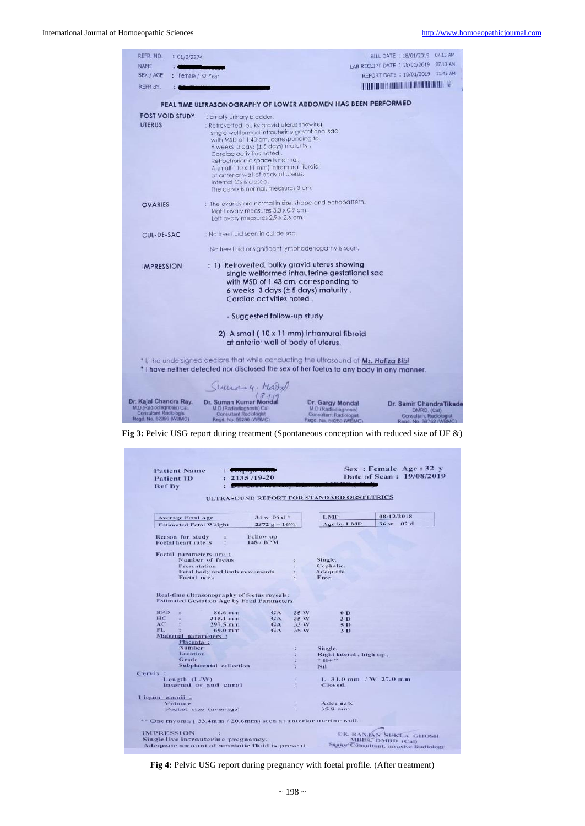| REFR, NO.<br>: 01/B/2274                           |                                                                                          |                                                       | BILL DATE : 18/01/2019 07.13 AM                                                                                      |
|----------------------------------------------------|------------------------------------------------------------------------------------------|-------------------------------------------------------|----------------------------------------------------------------------------------------------------------------------|
| NAME                                               |                                                                                          |                                                       | LAB RECEIPT DATE : 18/01/2019 07:13 AM                                                                               |
| SEX / AGE<br>: Female / 32 Year                    |                                                                                          |                                                       | REPORT DATE: 18/01/2019 11.46 AM                                                                                     |
| REFR BY.                                           |                                                                                          |                                                       | <b>THE REPORT OF STATE OF STATE OF STATE OF STATE OF STATE OF STATE OF STATE OF STATE OF STATE OF STATE OF STATE</b> |
|                                                    |                                                                                          |                                                       |                                                                                                                      |
|                                                    | REAL TIME ULTRASONOGRAPHY OF LOWER ABDOMEN HAS BEEN PERFORMED                            |                                                       |                                                                                                                      |
| <b>POST VOID STUDY</b>                             | : Empty urinary bladder.                                                                 |                                                       |                                                                                                                      |
| <b>UTERUS</b>                                      | : Retroverted, bulky gravid uterus showing                                               |                                                       |                                                                                                                      |
|                                                    | single wellformed intrauterine gestational sac                                           |                                                       |                                                                                                                      |
|                                                    | with MSD of 1.43 cm, corresponding to                                                    |                                                       |                                                                                                                      |
|                                                    | 6 weeks 3 days (± 5 days) maturity.<br>Cardiac activities noted.                         |                                                       |                                                                                                                      |
|                                                    | Retrochorionic space is normal.                                                          |                                                       |                                                                                                                      |
|                                                    | A small (10 x 11 mm) intramural fibroid                                                  |                                                       |                                                                                                                      |
|                                                    | at anterior wall of body of uterus.                                                      |                                                       |                                                                                                                      |
|                                                    | Internal OS is closed.                                                                   |                                                       |                                                                                                                      |
|                                                    | The cervix is normal, measures 3 cm.                                                     |                                                       |                                                                                                                      |
| <b>OVARIES</b>                                     | : The ovaries are normal in size, shape and echopattern.                                 |                                                       |                                                                                                                      |
|                                                    | Right ovary measures 3.0 x 0.9 cm.                                                       |                                                       |                                                                                                                      |
|                                                    | Left ovary measures 2.9 x 2.6 cm.                                                        |                                                       |                                                                                                                      |
| CUL-DE-SAC                                         | : No free fluid seen in cul de sac.                                                      |                                                       |                                                                                                                      |
|                                                    | No free fluid or significant lymphadenopathy is seen.                                    |                                                       |                                                                                                                      |
| <b>IMPRESSION</b>                                  | : 1) Retroverted, bulky gravid uterus showing                                            |                                                       |                                                                                                                      |
|                                                    |                                                                                          | single wellformed intrauterine gestational sac        |                                                                                                                      |
|                                                    |                                                                                          | with MSD of 1.43 cm. corresponding to                 |                                                                                                                      |
|                                                    | 6 weeks 3 days (± 5 days) maturity.                                                      |                                                       |                                                                                                                      |
|                                                    | Cardiac activities noted.                                                                |                                                       |                                                                                                                      |
|                                                    | - Suggested follow-up study                                                              |                                                       |                                                                                                                      |
|                                                    |                                                                                          |                                                       |                                                                                                                      |
|                                                    |                                                                                          | 2) A small (10 x 11 mm) intramural fibroid            |                                                                                                                      |
|                                                    | at anterior wall of body of uterus.                                                      |                                                       |                                                                                                                      |
|                                                    | * I, the undersigned declare that while conducting the ultrasound of Ms. Hafiza Bibi     |                                                       |                                                                                                                      |
|                                                    | * I have neither detected nor disclosed the sex of her foetus to any body in any manner. |                                                       |                                                                                                                      |
|                                                    |                                                                                          |                                                       |                                                                                                                      |
|                                                    | Sumary, Mark                                                                             |                                                       |                                                                                                                      |
|                                                    |                                                                                          |                                                       |                                                                                                                      |
| Dr. Kajal Chandra Ray.                             | Dr. Suman Kumar Mondal                                                                   | Dr. Gargy Mondal                                      | Dr. Samir ChandraTikade                                                                                              |
| M.D.(Radiodiagnosis) Cal.<br>Consultant Radiologis | M.D.(Radiodiagnosis) Cal<br>Consultant Radiologist                                       | M.D.(Radiodiagnosis)<br><b>Consultant Radiologist</b> | DMRD. (Cal)<br><b>Consultant Radiologist</b>                                                                         |
| Regd. No. 52369 (WBMC)                             | Regd. No. 55280 (WBMC)                                                                   | Read, No. 59250 (WRMC)                                | <b>Dead No. 30752 (WRMC)</b>                                                                                         |

**Fig 3:** Pelvic USG report during treatment (Spontaneous conception with reduced size of UF &)

| <b>Patient ID</b><br><b>Ref By</b>                                                                                                               | $\frac{1}{2}$ . The paper is the set<br>$: 2135/19-20$ |                              |                                                             | Sex: Female Age: 32 y<br>Date of Scan: 19/08/2019 |
|--------------------------------------------------------------------------------------------------------------------------------------------------|--------------------------------------------------------|------------------------------|-------------------------------------------------------------|---------------------------------------------------|
|                                                                                                                                                  |                                                        |                              | ULTRASOUND REPORT FOR STANDARD OBSTETRICS                   |                                                   |
| <b>Average Fetal Age</b>                                                                                                                         | $34 \text{ w}$ 06 d $\pm$                              |                              | LMP                                                         | 08/12/2018                                        |
| <b>Estimated Fetal Weight</b>                                                                                                                    | $2372 g + 16%$                                         |                              | Age by LMP                                                  | 36 w 02 d                                         |
| <b>Reason for study</b><br>Foetal heart rate is                                                                                                  | Follow up<br>148 / BPM                                 |                              |                                                             |                                                   |
| Foetal parameters are :                                                                                                                          |                                                        |                              |                                                             |                                                   |
| Number of foetus                                                                                                                                 |                                                        |                              | Single.                                                     |                                                   |
| <b>Presentation</b>                                                                                                                              |                                                        |                              | Cephalie.                                                   |                                                   |
| Fetal body and limb movements                                                                                                                    |                                                        |                              | Adequate<br>Free.                                           |                                                   |
| Foetal neck                                                                                                                                      |                                                        |                              |                                                             |                                                   |
| <b>BPD</b><br>86.6 mm<br>×<br>HC<br>$315.1 \; \mathrm{mm}$<br>AC<br>$297.5 \, \text{mm}$<br>FL.<br>69.0 mm<br>Maternal parameters :<br>Placenta: | GA<br>GA<br>GA<br>GA                                   | 35 W<br>35 W<br>33 W<br>35 W | $0$ D<br>3 <sub>D</sub><br>5 <sub>D</sub><br>3 <sub>D</sub> |                                                   |
| Number                                                                                                                                           |                                                        |                              | Single.                                                     |                                                   |
| Location                                                                                                                                         |                                                        |                              | Right lateral, high up.                                     |                                                   |
| Grade                                                                                                                                            |                                                        |                              | $+11+$                                                      |                                                   |
|                                                                                                                                                  |                                                        |                              | Nil                                                         |                                                   |
| Subplacental collection                                                                                                                          |                                                        |                              |                                                             |                                                   |
|                                                                                                                                                  |                                                        |                              |                                                             |                                                   |
| Length $(L/W)$                                                                                                                                   |                                                        | ÷                            | $L - 31.0$ mm $/W - 27.0$ mm                                |                                                   |
| Internal os and canal                                                                                                                            |                                                        |                              | Closed.                                                     |                                                   |
|                                                                                                                                                  |                                                        |                              |                                                             |                                                   |
| Volume                                                                                                                                           |                                                        | ä.                           | Adequate                                                    |                                                   |
| Cervix :<br>Liquor amnii:<br>Pocket size (average)                                                                                               |                                                        | Ŧ                            | $35.8$ mm                                                   |                                                   |
| $\ast$ One myoma (33.4mm / 20.6mm) seen at anterior uterine wall.                                                                                |                                                        |                              |                                                             |                                                   |

**Fig 4:** Pelvic USG report during pregnancy with foetal profile. (After treatment)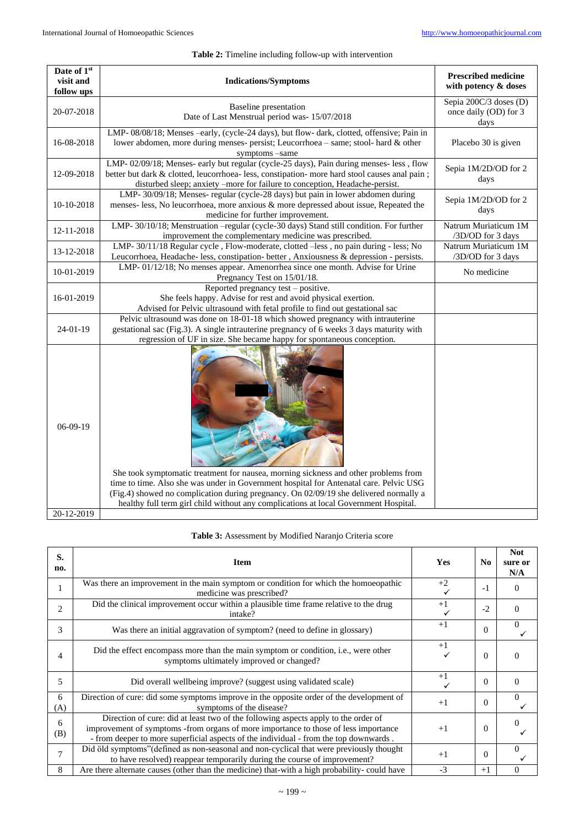# **Table 2:** Timeline including follow-up with intervention

| Date of 1st<br>visit and<br>follow ups | <b>Indications/Symptoms</b>                                                                                                                                                                                                                                                                                                                                    | <b>Prescribed medicine</b><br>with potency & doses      |
|----------------------------------------|----------------------------------------------------------------------------------------------------------------------------------------------------------------------------------------------------------------------------------------------------------------------------------------------------------------------------------------------------------------|---------------------------------------------------------|
| 20-07-2018                             | <b>Baseline</b> presentation<br>Date of Last Menstrual period was-15/07/2018                                                                                                                                                                                                                                                                                   | Sepia 200C/3 doses (D)<br>once daily (OD) for 3<br>days |
| 16-08-2018                             | LMP-08/08/18; Menses -early, (cycle-24 days), but flow-dark, clotted, offensive; Pain in<br>lower abdomen, more during menses- persist; Leucorrhoea - same; stool- hard & other<br>symptoms -same                                                                                                                                                              | Placebo 30 is given                                     |
| 12-09-2018                             | LMP-02/09/18; Menses- early but regular (cycle-25 days), Pain during menses- less, flow<br>better but dark & clotted, leucorrhoea- less, constipation- more hard stool causes anal pain;<br>disturbed sleep; anxiety -more for failure to conception, Headache-persist.                                                                                        | Sepia 1M/2D/OD for 2<br>days                            |
| 10-10-2018                             | LMP-30/09/18; Menses-regular (cycle-28 days) but pain in lower abdomen during<br>menses- less, No leucorrhoea, more anxious & more depressed about issue, Repeated the<br>medicine for further improvement.                                                                                                                                                    | Sepia 1M/2D/OD for 2<br>days                            |
| 12-11-2018                             | LMP-30/10/18; Menstruation -- regular (cycle-30 days) Stand still condition. For further<br>improvement the complementary medicine was prescribed.                                                                                                                                                                                                             | Natrum Muriaticum 1M<br>/3D/OD for 3 days               |
| 13-12-2018                             | LMP-30/11/18 Regular cycle, Flow-moderate, clotted -less, no pain during - less; No<br>Leucorrhoea, Headache- less, constipation- better, Anxiousness & depression - persists.                                                                                                                                                                                 | Natrum Muriaticum 1M<br>/3D/OD for 3 days               |
| 10-01-2019                             | LMP-01/12/18; No menses appear. Amenorrhea since one month. Advise for Urine<br>Pregnancy Test on 15/01/18.                                                                                                                                                                                                                                                    | No medicine                                             |
| 16-01-2019                             | Reported pregnancy test - positive.<br>She feels happy. Advise for rest and avoid physical exertion.<br>Advised for Pelvic ultrasound with fetal profile to find out gestational sac                                                                                                                                                                           |                                                         |
| $24-01-19$                             | Pelvic ultrasound was done on 18-01-18 which showed pregnancy with intrauterine<br>gestational sac (Fig.3). A single intrauterine pregnancy of 6 weeks 3 days maturity with<br>regression of UF in size. She became happy for spontaneous conception.                                                                                                          |                                                         |
| $06-09-19$<br>20-12-2019               | She took symptomatic treatment for nausea, morning sickness and other problems from<br>time to time. Also she was under in Government hospital for Antenatal care. Pelvic USG<br>(Fig.4) showed no complication during pregnancy. On 02/09/19 she delivered normally a<br>healthy full term girl child without any complications at local Government Hospital. |                                                         |

| S.<br>no.      | <b>Item</b>                                                                                                                                                                                                                                                        | <b>Yes</b> | N <sub>0</sub> | <b>Not</b><br>sure or<br>N/A |
|----------------|--------------------------------------------------------------------------------------------------------------------------------------------------------------------------------------------------------------------------------------------------------------------|------------|----------------|------------------------------|
| 1              | Was there an improvement in the main symptom or condition for which the homoeopathic<br>medicine was prescribed?                                                                                                                                                   | $+2$       | $-1$           | $\overline{0}$               |
| $\overline{c}$ | Did the clinical improvement occur within a plausible time frame relative to the drug<br>intake?                                                                                                                                                                   | $+1$       | $-2$           | $\Omega$                     |
| 3              | Was there an initial aggravation of symptom? (need to define in glossary)                                                                                                                                                                                          | $+1$       | $\theta$       | $\mathbf{0}$                 |
| 4              | Did the effect encompass more than the main symptom or condition, <i>i.e.</i> , were other<br>symptoms ultimately improved or changed?                                                                                                                             | $+1$       | $\Omega$       | $\Omega$                     |
| 5              | Did overall wellbeing improve? (suggest using validated scale)                                                                                                                                                                                                     | $+1$       | $\Omega$       | $\Omega$                     |
| 6<br>(A)       | Direction of cure: did some symptoms improve in the opposite order of the development of<br>symptoms of the disease?                                                                                                                                               | $+1$       | $\Omega$       | $\overline{0}$               |
| 6<br>(B)       | Direction of cure: did at least two of the following aspects apply to the order of<br>improvement of symptoms -from organs of more importance to those of less importance<br>- from deeper to more superficial aspects of the individual - from the top downwards. | $+1$       | $\Omega$       | $\Omega$                     |
| 7              | Did öld symptoms" (defined as non-seasonal and non-cyclical that were previously thought<br>to have resolved) reappear temporarily during the course of improvement?                                                                                               | $+1$       | $\Omega$       | $\Omega$                     |
| 8              | Are there alternate causes (other than the medicine) that-with a high probability-could have                                                                                                                                                                       | $-3$       | $+1$           | $\Omega$                     |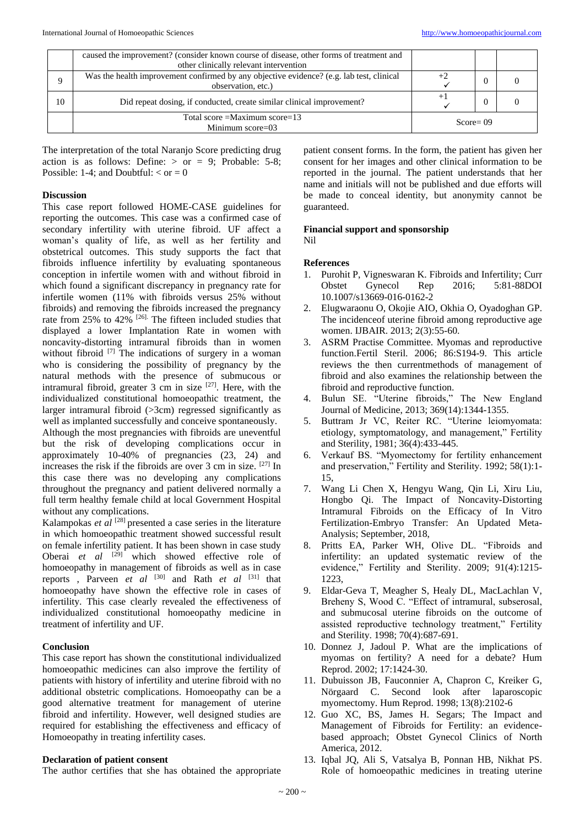|    | caused the improvement? (consider known course of disease, other forms of treatment and  |              |  |  |
|----|------------------------------------------------------------------------------------------|--------------|--|--|
|    | other clinically relevant intervention                                                   |              |  |  |
|    | Was the health improvement confirmed by any objective evidence? (e.g. lab test, clinical |              |  |  |
|    | observation, etc.)                                                                       |              |  |  |
| 10 | Did repeat dosing, if conducted, create similar clinical improvement?                    |              |  |  |
|    | Total score = Maximum score= $13$<br>Minimum score= $03$                                 | $Score = 09$ |  |  |

The interpretation of the total Naranjo Score predicting drug action is as follows: Define:  $>$  or  $=$  9; Probable: 5-8; Possible: 1-4; and Doubtful:  $<$  or  $=$  0

#### **Discussion**

This case report followed HOME-CASE guidelines for reporting the outcomes. This case was a confirmed case of secondary infertility with uterine fibroid. UF affect a woman's quality of life, as well as her fertility and obstetrical outcomes. This study supports the fact that fibroids influence infertility by evaluating spontaneous conception in infertile women with and without fibroid in which found a significant discrepancy in pregnancy rate for infertile women (11% with fibroids versus 25% without fibroids) and removing the fibroids increased the pregnancy rate from 25% to 42% <sup>[26]</sup>. The fifteen included studies that displayed a lower Implantation Rate in women with noncavity-distorting intramural fibroids than in women without fibroid <sup>[7]</sup> The indications of surgery in a woman who is considering the possibility of pregnancy by the natural methods with the presence of submucous or intramural fibroid, greater  $3 \text{ cm}$  in size  $[27]$ . Here, with the individualized constitutional homoeopathic treatment, the larger intramural fibroid (>3cm) regressed significantly as well as implanted successfully and conceive spontaneously. Although the most pregnancies with fibroids are uneventful but the risk of developing complications occur in approximately 10-40% of pregnancies (23, 24) and increases the risk if the fibroids are over 3 cm in size. [27] In this case there was no developing any complications throughout the pregnancy and patient delivered normally a full term healthy female child at local Government Hospital without any complications.

Kalampokas *et al* <sup>[28]</sup> presented a case series in the literature in which homoeopathic treatment showed successful result on female infertility patient. It has been shown in case study Oberai *et al* [29] which showed effective role of homoeopathy in management of fibroids as well as in case reports, Parveen *et al* <sup>[30]</sup> and Rath *et al* <sup>[31]</sup> that homoeopathy have shown the effective role in cases of infertility. This case clearly revealed the effectiveness of individualized constitutional homoeopathy medicine in treatment of infertility and UF.

## **Conclusion**

This case report has shown the constitutional individualized homoeopathic medicines can also improve the fertility of patients with history of infertility and uterine fibroid with no additional obstetric complications. Homoeopathy can be a good alternative treatment for management of uterine fibroid and infertility. However, well designed studies are required for establishing the effectiveness and efficacy of Homoeopathy in treating infertility cases.

#### **Declaration of patient consent**

The author certifies that she has obtained the appropriate

patient consent forms. In the form, the patient has given her consent for her images and other clinical information to be reported in the journal. The patient understands that her name and initials will not be published and due efforts will be made to conceal identity, but anonymity cannot be guaranteed.

#### **Financial support and sponsorship** Nil

## **References**

- 1. Purohit P, Vigneswaran K. Fibroids and Infertility; Curr Obstet Gynecol Rep 2016; 5:81-88DOI 10.1007/s13669-016-0162-2
- 2. Elugwaraonu O, Okojie AIO, Okhia O, Oyadoghan GP. The incidenceof uterine fibroid among reproductive age women. IJBAIR. 2013; 2(3):55-60.
- 3. ASRM Practise Committee. Myomas and reproductive function.Fertil Steril. 2006; 86:S194-9. This article reviews the then currentmethods of management of fibroid and also examines the relationship between the fibroid and reproductive function.
- 4. Bulun SE. "Uterine fibroids," The New England Journal of Medicine, 2013; 369(14):1344-1355.
- 5. Buttram Jr VC, Reiter RC. "Uterine leiomyomata: etiology, symptomatology, and management," Fertility and Sterility, 1981; 36(4):433-445.
- 6. Verkauf BS. "Myomectomy for fertility enhancement and preservation," Fertility and Sterility. 1992; 58(1):1- 15,
- 7. Wang Li Chen X, Hengyu Wang, Qin Li, Xiru Liu, Hongbo Qi. The Impact of Noncavity-Distorting Intramural Fibroids on the Efficacy of In Vitro Fertilization-Embryo Transfer: An Updated Meta-Analysis; September, 2018,
- 8. Pritts EA, Parker WH, Olive DL. "Fibroids and infertility: an updated systematic review of the evidence," Fertility and Sterility. 2009; 91(4):1215- 1223,
- 9. Eldar-Geva T, Meagher S, Healy DL, MacLachlan V, Breheny S, Wood C. "Effect of intramural, subserosal, and submucosal uterine fibroids on the outcome of assisted reproductive technology treatment," Fertility and Sterility. 1998; 70(4):687-691.
- 10. Donnez J, Jadoul P. What are the implications of myomas on fertility? A need for a debate? Hum Reprod. 2002; 17:1424-30.
- 11. Dubuisson JB, Fauconnier A, Chapron C, Kreiker G, Nörgaard C. Second look after laparoscopic myomectomy. Hum Reprod. 1998; 13(8):2102-6
- 12. Guo XC, BS, James H. Segars; The Impact and Management of Fibroids for Fertility: an evidencebased approach; Obstet Gynecol Clinics of North America, 2012.
- 13. Iqbal JQ, Ali S, Vatsalya B, Ponnan HB, Nikhat PS. Role of homoeopathic medicines in treating uterine